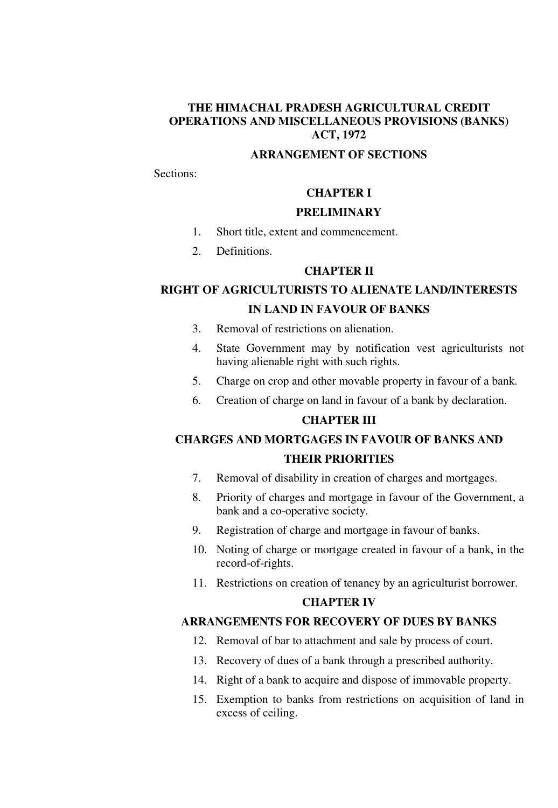### **THE HIMACHAL PRADESH AGRICULTURAL CREDIT OPERATIONS AND MISCELLANEOUS PROVISIONS (BANKS) ACT, 1972**

# **ARRANGEMENT OF SECTIONS**

Sections:

# **CHAPTER I**

### **PRELIMINARY**

- 1. Short title, extent and commencement.
- 2. Definitions.

### **CHAPTER II**

# **RIGHT OF AGRICULTURISTS TO ALIENATE LAND/INTERESTS IN LAND IN FAVOUR OF BANKS**

- 3. Removal of restrictions on alienation.
- 4. State Government may by notification vest agriculturists not having alienable right with such rights.
- 5. Charge on crop and other movable property in favour of a bank.
- 6. Creation of charge on land in favour of a bank by declaration.

# **CHAPTER III**

# **CHARGES AND MORTGAGES IN FAVOUR OF BANKS AND THEIR PRIORITIES**

- 7. Removal of disability in creation of charges and mortgages.
- 8. Priority of charges and mortgage in favour of the Government, a bank and a co-operative society.
- 9. Registration of charge and mortgage in favour of banks.
- 10. Noting of charge or mortgage created in favour of a bank, in the record-of-rights.
- 11. Restrictions on creation of tenancy by an agriculturist borrower.

#### **CHAPTER IV**

### **ARRANGEMENTS FOR RECOVERY OF DUES BY BANKS**

- 12. Removal of bar to attachment and sale by process of court.
- 13. Recovery of dues of a bank through a prescribed authority.
- 14. Right of a bank to acquire and dispose of immovable property.
- 15. Exemption to banks from restrictions on acquisition of land in excess of ceiling.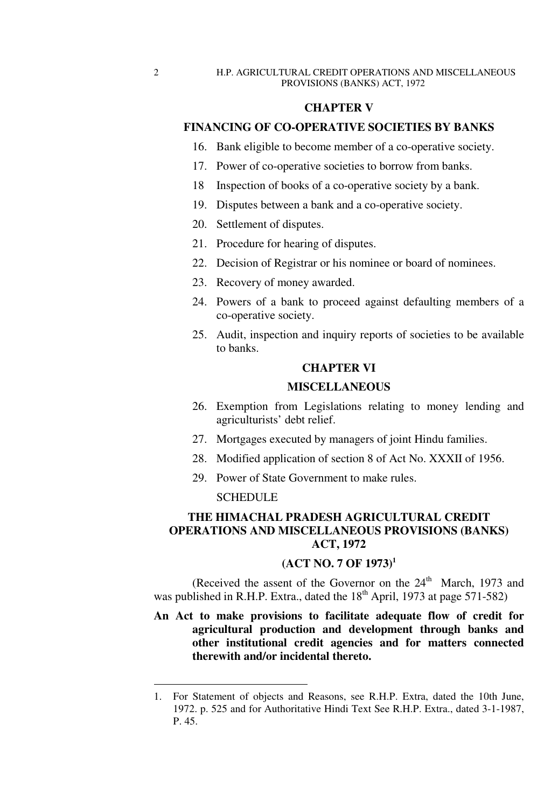### **CHAPTER V**

# **FINANCING OF CO-OPERATIVE SOCIETIES BY BANKS**

- 16. Bank eligible to become member of a co-operative society.
- 17. Power of co-operative societies to borrow from banks.
- 18 Inspection of books of a co-operative society by a bank.
- 19. Disputes between a bank and a co-operative society.
- 20. Settlement of disputes.
- 21. Procedure for hearing of disputes.
- 22. Decision of Registrar or his nominee or board of nominees.
- 23. Recovery of money awarded.
- 24. Powers of a bank to proceed against defaulting members of a co-operative society.
- 25. Audit, inspection and inquiry reports of societies to be available to banks.

### **CHAPTER VI**

### **MISCELLANEOUS**

- 26. Exemption from Legislations relating to money lending and agriculturists' debt relief.
- 27. Mortgages executed by managers of joint Hindu families.
- 28. Modified application of section 8 of Act No. XXXII of 1956.
- 29. Power of State Government to make rules.

#### **SCHEDULE**

## **THE HIMACHAL PRADESH AGRICULTURAL CREDIT OPERATIONS AND MISCELLANEOUS PROVISIONS (BANKS) ACT, 1972**

# **(ACT NO. 7 OF 1973)<sup>1</sup>**

(Received the assent of the Governor on the  $24<sup>th</sup>$  March, 1973 and was published in R.H.P. Extra., dated the  $18<sup>th</sup>$  April, 1973 at page 571-582)

**An Act to make provisions to facilitate adequate flow of credit for agricultural production and development through banks and other institutional credit agencies and for matters connected therewith and/or incidental thereto.** 

<sup>1.</sup> For Statement of objects and Reasons, see R.H.P. Extra, dated the 10th June, 1972. p. 525 and for Authoritative Hindi Text See R.H.P. Extra., dated 3-1-1987, P. 45.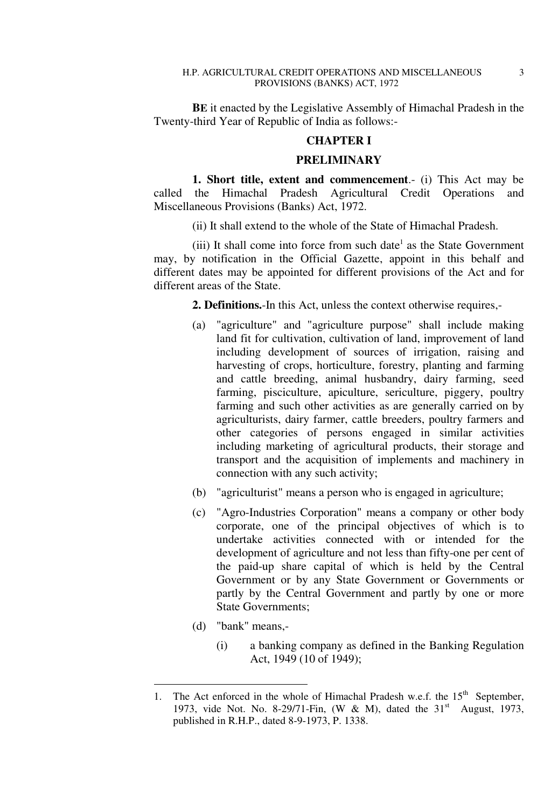**BE** it enacted by the Legislative Assembly of Himachal Pradesh in the Twenty-third Year of Republic of India as follows:-

# **CHAPTER I**

#### **PRELIMINARY**

**1. Short title, extent and commencement**.- (i) This Act may be called the Himachal Pradesh Agricultural Credit Operations and Miscellaneous Provisions (Banks) Act, 1972.

(ii) It shall extend to the whole of the State of Himachal Pradesh.

(iii) It shall come into force from such date<sup>1</sup> as the State Government may, by notification in the Official Gazette, appoint in this behalf and different dates may be appointed for different provisions of the Act and for different areas of the State.

**2. Definitions.**-In this Act, unless the context otherwise requires,-

- (a) "agriculture" and "agriculture purpose" shall include making land fit for cultivation, cultivation of land, improvement of land including development of sources of irrigation, raising and harvesting of crops, horticulture, forestry, planting and farming and cattle breeding, animal husbandry, dairy farming, seed farming, pisciculture, apiculture, sericulture, piggery, poultry farming and such other activities as are generally carried on by agriculturists, dairy farmer, cattle breeders, poultry farmers and other categories of persons engaged in similar activities including marketing of agricultural products, their storage and transport and the acquisition of implements and machinery in connection with any such activity;
- (b) "agriculturist" means a person who is engaged in agriculture;
- (c) "Agro-Industries Corporation" means a company or other body corporate, one of the principal objectives of which is to undertake activities connected with or intended for the development of agriculture and not less than fifty-one per cent of the paid-up share capital of which is held by the Central Government or by any State Government or Governments or partly by the Central Government and partly by one or more State Governments;
- (d) "bank" means,-

-

(i) a banking company as defined in the Banking Regulation Act, 1949 (10 of 1949);

<sup>1.</sup> The Act enforced in the whole of Himachal Pradesh w.e.f. the  $15<sup>th</sup>$  September, 1973, vide Not. No. 8-29/71-Fin, (W & M), dated the  $31<sup>st</sup>$  August, 1973, published in R.H.P., dated 8-9-1973, P. 1338.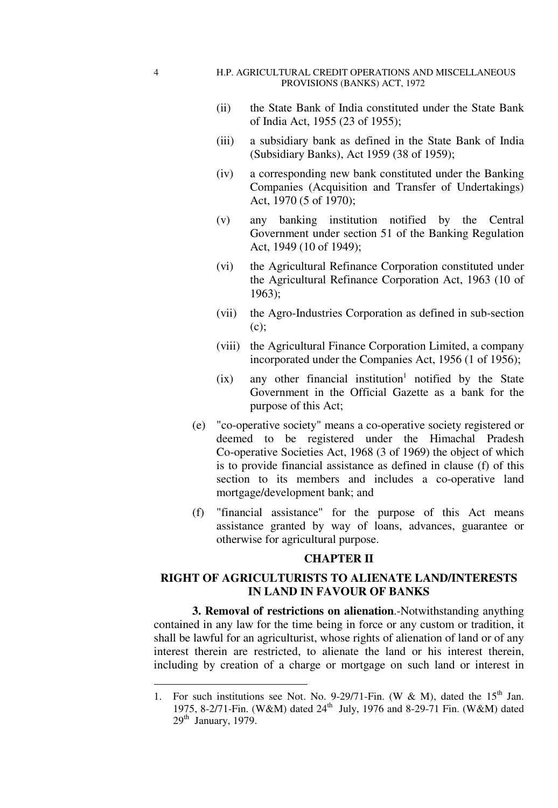#### H.P. AGRICULTURAL CREDIT OPERATIONS AND MISCELLANEOUS PROVISIONS (BANKS) ACT, 1972

- (ii) the State Bank of India constituted under the State Bank of India Act, 1955 (23 of 1955);
- (iii) a subsidiary bank as defined in the State Bank of India (Subsidiary Banks), Act 1959 (38 of 1959);
- (iv) a corresponding new bank constituted under the Banking Companies (Acquisition and Transfer of Undertakings) Act, 1970 (5 of 1970);
- (v) any banking institution notified by the Central Government under section 51 of the Banking Regulation Act, 1949 (10 of 1949);
- (vi) the Agricultural Refinance Corporation constituted under the Agricultural Refinance Corporation Act, 1963 (10 of 1963);
- (vii) the Agro-Industries Corporation as defined in sub-section (c);
- (viii) the Agricultural Finance Corporation Limited, a company incorporated under the Companies Act, 1956 (1 of 1956);
- $(ix)$  any other financial institution<sup>1</sup> notified by the State Government in the Official Gazette as a bank for the purpose of this Act;
	- (e) "co-operative society" means a co-operative society registered or deemed to be registered under the Himachal Pradesh Co-operative Societies Act, 1968 (3 of 1969) the object of which is to provide financial assistance as defined in clause (f) of this section to its members and includes a co-operative land mortgage/development bank; and
	- (f) "financial assistance" for the purpose of this Act means assistance granted by way of loans, advances, guarantee or otherwise for agricultural purpose.

### **CHAPTER II**

# **RIGHT OF AGRICULTURISTS TO ALIENATE LAND/INTERESTS IN LAND IN FAVOUR OF BANKS**

**3. Removal of restrictions on alienation**.-Notwithstanding anything contained in any law for the time being in force or any custom or tradition, it shall be lawful for an agriculturist, whose rights of alienation of land or of any interest therein are restricted, to alienate the land or his interest therein, including by creation of a charge or mortgage on such land or interest in

4

<sup>1.</sup> For such institutions see Not. No. 9-29/71-Fin. (W & M), dated the  $15<sup>th</sup>$  Jan. 1975, 8-2/71-Fin. (W&M) dated 24<sup>th</sup> July, 1976 and 8-29-71 Fin. (W&M) dated  $29<sup>th</sup>$  January, 1979.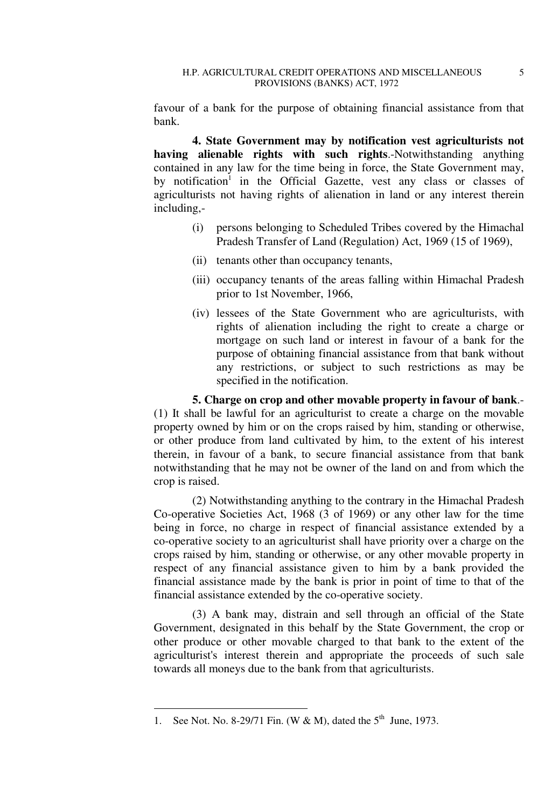favour of a bank for the purpose of obtaining financial assistance from that bank.

**4. State Government may by notification vest agriculturists not having alienable rights with such rights**.-Notwithstanding anything contained in any law for the time being in force, the State Government may, by notification<sup>1</sup> in the Official Gazette, vest any class or classes of agriculturists not having rights of alienation in land or any interest therein including,-

- (i) persons belonging to Scheduled Tribes covered by the Himachal Pradesh Transfer of Land (Regulation) Act, 1969 (15 of 1969),
- (ii) tenants other than occupancy tenants,
- (iii) occupancy tenants of the areas falling within Himachal Pradesh prior to 1st November, 1966,
- (iv) lessees of the State Government who are agriculturists, with rights of alienation including the right to create a charge or mortgage on such land or interest in favour of a bank for the purpose of obtaining financial assistance from that bank without any restrictions, or subject to such restrictions as may be specified in the notification.

**5. Charge on crop and other movable property in favour of bank**.- (1) It shall be lawful for an agriculturist to create a charge on the movable property owned by him or on the crops raised by him, standing or otherwise, or other produce from land cultivated by him, to the extent of his interest therein, in favour of a bank, to secure financial assistance from that bank notwithstanding that he may not be owner of the land on and from which the crop is raised.

(2) Notwithstanding anything to the contrary in the Himachal Pradesh Co-operative Societies Act, 1968 (3 of 1969) or any other law for the time being in force, no charge in respect of financial assistance extended by a co-operative society to an agriculturist shall have priority over a charge on the crops raised by him, standing or otherwise, or any other movable property in respect of any financial assistance given to him by a bank provided the financial assistance made by the bank is prior in point of time to that of the financial assistance extended by the co-operative society.

(3) A bank may, distrain and sell through an official of the State Government, designated in this behalf by the State Government, the crop or other produce or other movable charged to that bank to the extent of the agriculturist's interest therein and appropriate the proceeds of such sale towards all moneys due to the bank from that agriculturists.

<sup>1.</sup> See Not. No. 8-29/71 Fin. (W & M), dated the  $5<sup>th</sup>$  June, 1973.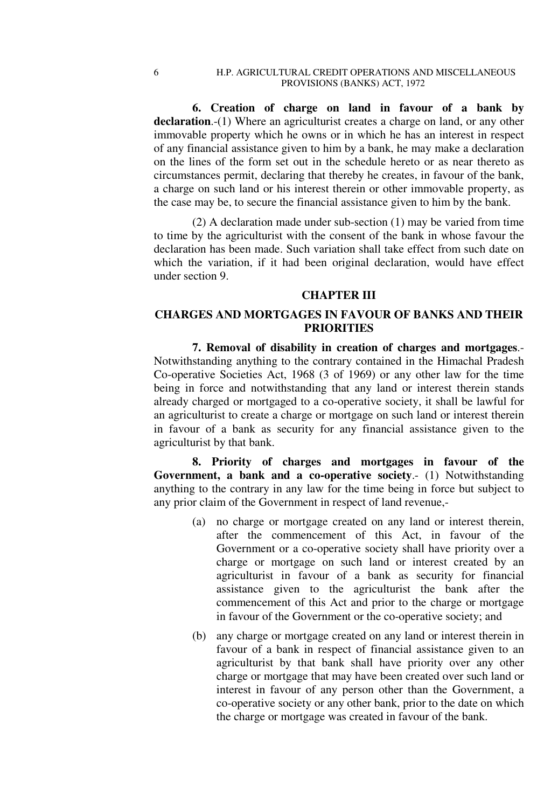**6. Creation of charge on land in favour of a bank by**  declaration.-(1) Where an agriculturist creates a charge on land, or any other immovable property which he owns or in which he has an interest in respect of any financial assistance given to him by a bank, he may make a declaration on the lines of the form set out in the schedule hereto or as near thereto as circumstances permit, declaring that thereby he creates, in favour of the bank, a charge on such land or his interest therein or other immovable property, as the case may be, to secure the financial assistance given to him by the bank.

(2) A declaration made under sub-section (1) may be varied from time to time by the agriculturist with the consent of the bank in whose favour the declaration has been made. Such variation shall take effect from such date on which the variation, if it had been original declaration, would have effect under section 9.

### **CHAPTER III**

### **CHARGES AND MORTGAGES IN FAVOUR OF BANKS AND THEIR PRIORITIES**

**7. Removal of disability in creation of charges and mortgages**.- Notwithstanding anything to the contrary contained in the Himachal Pradesh Co-operative Societies Act, 1968 (3 of 1969) or any other law for the time being in force and notwithstanding that any land or interest therein stands already charged or mortgaged to a co-operative society, it shall be lawful for an agriculturist to create a charge or mortgage on such land or interest therein in favour of a bank as security for any financial assistance given to the agriculturist by that bank.

**8. Priority of charges and mortgages in favour of the Government, a bank and a co-operative society**.- (1) Notwithstanding anything to the contrary in any law for the time being in force but subject to any prior claim of the Government in respect of land revenue,-

- (a) no charge or mortgage created on any land or interest therein, after the commencement of this Act, in favour of the Government or a co-operative society shall have priority over a charge or mortgage on such land or interest created by an agriculturist in favour of a bank as security for financial assistance given to the agriculturist the bank after the commencement of this Act and prior to the charge or mortgage in favour of the Government or the co-operative society; and
- (b) any charge or mortgage created on any land or interest therein in favour of a bank in respect of financial assistance given to an agriculturist by that bank shall have priority over any other charge or mortgage that may have been created over such land or interest in favour of any person other than the Government, a co-operative society or any other bank, prior to the date on which the charge or mortgage was created in favour of the bank.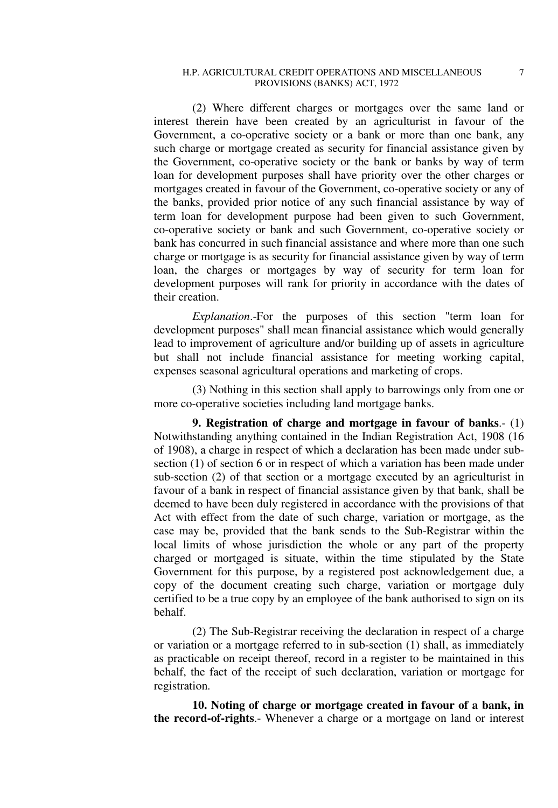#### H.P. AGRICULTURAL CREDIT OPERATIONS AND MISCELLANEOUS  $7$ PROVISIONS (BANKS) ACT, 1972

(2) Where different charges or mortgages over the same land or interest therein have been created by an agriculturist in favour of the Government, a co-operative society or a bank or more than one bank, any such charge or mortgage created as security for financial assistance given by the Government, co-operative society or the bank or banks by way of term loan for development purposes shall have priority over the other charges or mortgages created in favour of the Government, co-operative society or any of the banks, provided prior notice of any such financial assistance by way of term loan for development purpose had been given to such Government, co-operative society or bank and such Government, co-operative society or bank has concurred in such financial assistance and where more than one such charge or mortgage is as security for financial assistance given by way of term loan, the charges or mortgages by way of security for term loan for development purposes will rank for priority in accordance with the dates of their creation.

*Explanation*.-For the purposes of this section "term loan for development purposes" shall mean financial assistance which would generally lead to improvement of agriculture and/or building up of assets in agriculture but shall not include financial assistance for meeting working capital, expenses seasonal agricultural operations and marketing of crops.

(3) Nothing in this section shall apply to barrowings only from one or more co-operative societies including land mortgage banks.

**9. Registration of charge and mortgage in favour of banks**.- (1) Notwithstanding anything contained in the Indian Registration Act, 1908 (16 of 1908), a charge in respect of which a declaration has been made under subsection (1) of section 6 or in respect of which a variation has been made under sub-section (2) of that section or a mortgage executed by an agriculturist in favour of a bank in respect of financial assistance given by that bank, shall be deemed to have been duly registered in accordance with the provisions of that Act with effect from the date of such charge, variation or mortgage, as the case may be, provided that the bank sends to the Sub-Registrar within the local limits of whose jurisdiction the whole or any part of the property charged or mortgaged is situate, within the time stipulated by the State Government for this purpose, by a registered post acknowledgement due, a copy of the document creating such charge, variation or mortgage duly certified to be a true copy by an employee of the bank authorised to sign on its behalf.

(2) The Sub-Registrar receiving the declaration in respect of a charge or variation or a mortgage referred to in sub-section (1) shall, as immediately as practicable on receipt thereof, record in a register to be maintained in this behalf, the fact of the receipt of such declaration, variation or mortgage for registration.

**10. Noting of charge or mortgage created in favour of a bank, in the record-of-rights**.- Whenever a charge or a mortgage on land or interest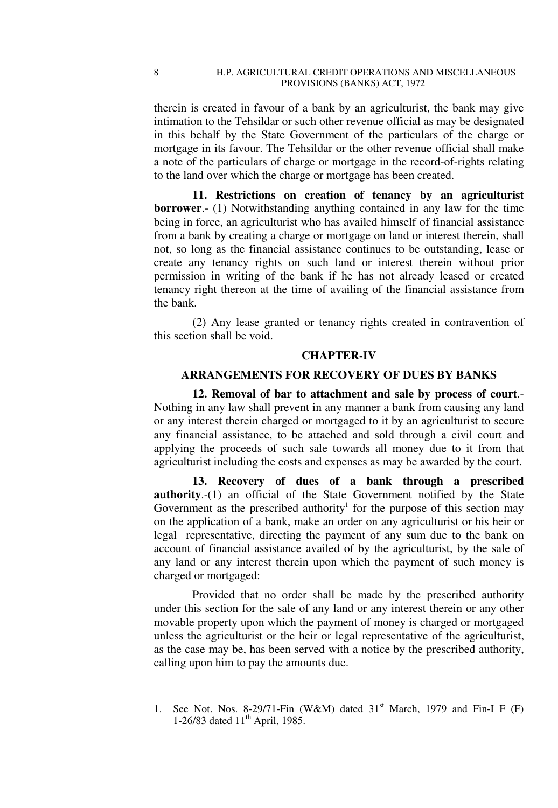therein is created in favour of a bank by an agriculturist, the bank may give intimation to the Tehsildar or such other revenue official as may be designated in this behalf by the State Government of the particulars of the charge or mortgage in its favour. The Tehsildar or the other revenue official shall make a note of the particulars of charge or mortgage in the record-of-rights relating to the land over which the charge or mortgage has been created.

**11. Restrictions on creation of tenancy by an agriculturist borrower**.- (1) Notwithstanding anything contained in any law for the time being in force, an agriculturist who has availed himself of financial assistance from a bank by creating a charge or mortgage on land or interest therein, shall not, so long as the financial assistance continues to be outstanding, lease or create any tenancy rights on such land or interest therein without prior permission in writing of the bank if he has not already leased or created tenancy right thereon at the time of availing of the financial assistance from the bank.

(2) Any lease granted or tenancy rights created in contravention of this section shall be void.

#### **CHAPTER-IV**

### **ARRANGEMENTS FOR RECOVERY OF DUES BY BANKS**

**12. Removal of bar to attachment and sale by process of court**.- Nothing in any law shall prevent in any manner a bank from causing any land or any interest therein charged or mortgaged to it by an agriculturist to secure any financial assistance, to be attached and sold through a civil court and applying the proceeds of such sale towards all money due to it from that agriculturist including the costs and expenses as may be awarded by the court.

**13. Recovery of dues of a bank through a prescribed authority**.-(1) an official of the State Government notified by the State Government as the prescribed authority<sup>1</sup> for the purpose of this section may on the application of a bank, make an order on any agriculturist or his heir or legal representative, directing the payment of any sum due to the bank on account of financial assistance availed of by the agriculturist, by the sale of any land or any interest therein upon which the payment of such money is charged or mortgaged:

Provided that no order shall be made by the prescribed authority under this section for the sale of any land or any interest therein or any other movable property upon which the payment of money is charged or mortgaged unless the agriculturist or the heir or legal representative of the agriculturist, as the case may be, has been served with a notice by the prescribed authority, calling upon him to pay the amounts due.

<sup>1.</sup> See Not. Nos. 8-29/71-Fin (W&M) dated  $31<sup>st</sup>$  March, 1979 and Fin-I F (F) 1-26/83 dated  $11<sup>th</sup>$  April, 1985.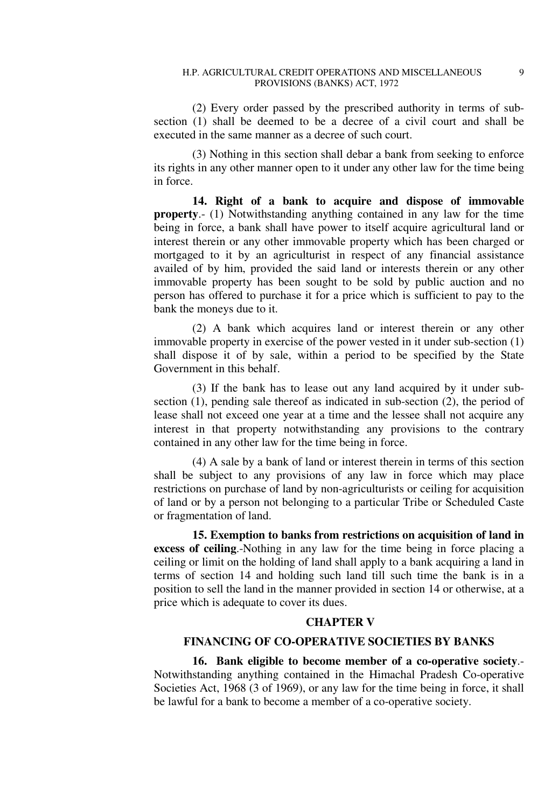(2) Every order passed by the prescribed authority in terms of subsection (1) shall be deemed to be a decree of a civil court and shall be executed in the same manner as a decree of such court.

(3) Nothing in this section shall debar a bank from seeking to enforce its rights in any other manner open to it under any other law for the time being in force.

**14. Right of a bank to acquire and dispose of immovable property**.- (1) Notwithstanding anything contained in any law for the time being in force, a bank shall have power to itself acquire agricultural land or interest therein or any other immovable property which has been charged or mortgaged to it by an agriculturist in respect of any financial assistance availed of by him, provided the said land or interests therein or any other immovable property has been sought to be sold by public auction and no person has offered to purchase it for a price which is sufficient to pay to the bank the moneys due to it.

(2) A bank which acquires land or interest therein or any other immovable property in exercise of the power vested in it under sub-section (1) shall dispose it of by sale, within a period to be specified by the State Government in this behalf.

(3) If the bank has to lease out any land acquired by it under subsection (1), pending sale thereof as indicated in sub-section (2), the period of lease shall not exceed one year at a time and the lessee shall not acquire any interest in that property notwithstanding any provisions to the contrary contained in any other law for the time being in force.

 (4) A sale by a bank of land or interest therein in terms of this section shall be subject to any provisions of any law in force which may place restrictions on purchase of land by non-agriculturists or ceiling for acquisition of land or by a person not belonging to a particular Tribe or Scheduled Caste or fragmentation of land.

**15. Exemption to banks from restrictions on acquisition of land in excess of ceiling**.-Nothing in any law for the time being in force placing a ceiling or limit on the holding of land shall apply to a bank acquiring a land in terms of section 14 and holding such land till such time the bank is in a position to sell the land in the manner provided in section 14 or otherwise, at a price which is adequate to cover its dues.

### **CHAPTER V**

# **FINANCING OF CO-OPERATIVE SOCIETIES BY BANKS**

**16. Bank eligible to become member of a co-operative society**.- Notwithstanding anything contained in the Himachal Pradesh Co-operative Societies Act, 1968 (3 of 1969), or any law for the time being in force, it shall be lawful for a bank to become a member of a co-operative society.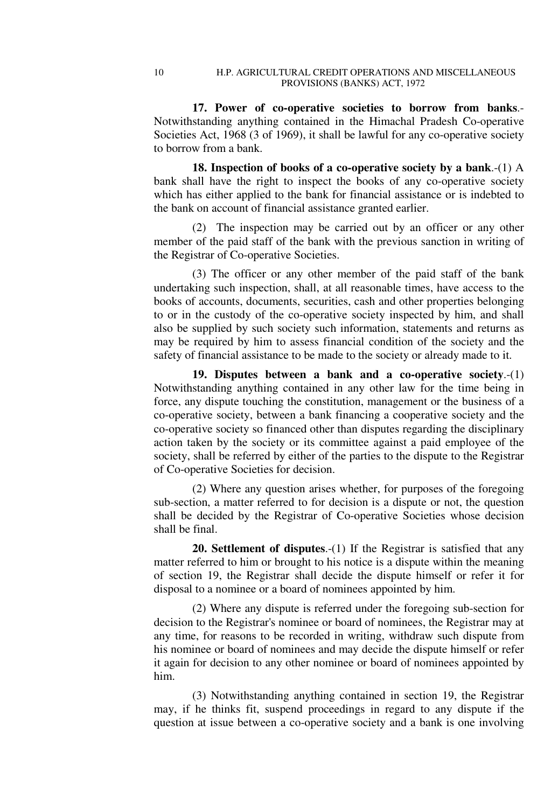**17. Power of co-operative societies to borrow from banks**.- Notwithstanding anything contained in the Himachal Pradesh Co-operative Societies Act, 1968 (3 of 1969), it shall be lawful for any co-operative society to borrow from a bank.

**18. Inspection of books of a co-operative society by a bank**.-(1) A bank shall have the right to inspect the books of any co-operative society which has either applied to the bank for financial assistance or is indebted to the bank on account of financial assistance granted earlier.

(2) The inspection may be carried out by an officer or any other member of the paid staff of the bank with the previous sanction in writing of the Registrar of Co-operative Societies.

(3) The officer or any other member of the paid staff of the bank undertaking such inspection, shall, at all reasonable times, have access to the books of accounts, documents, securities, cash and other properties belonging to or in the custody of the co-operative society inspected by him, and shall also be supplied by such society such information, statements and returns as may be required by him to assess financial condition of the society and the safety of financial assistance to be made to the society or already made to it.

**19. Disputes between a bank and a co-operative society**.-(1) Notwithstanding anything contained in any other law for the time being in force, any dispute touching the constitution, management or the business of a co-operative society, between a bank financing a cooperative society and the co-operative society so financed other than disputes regarding the disciplinary action taken by the society or its committee against a paid employee of the society, shall be referred by either of the parties to the dispute to the Registrar of Co-operative Societies for decision.

(2) Where any question arises whether, for purposes of the foregoing sub-section, a matter referred to for decision is a dispute or not, the question shall be decided by the Registrar of Co-operative Societies whose decision shall be final.

**20. Settlement of disputes**.-(1) If the Registrar is satisfied that any matter referred to him or brought to his notice is a dispute within the meaning of section 19, the Registrar shall decide the dispute himself or refer it for disposal to a nominee or a board of nominees appointed by him.

(2) Where any dispute is referred under the foregoing sub-section for decision to the Registrar's nominee or board of nominees, the Registrar may at any time, for reasons to be recorded in writing, withdraw such dispute from his nominee or board of nominees and may decide the dispute himself or refer it again for decision to any other nominee or board of nominees appointed by him.

(3) Notwithstanding anything contained in section 19, the Registrar may, if he thinks fit, suspend proceedings in regard to any dispute if the question at issue between a co-operative society and a bank is one involving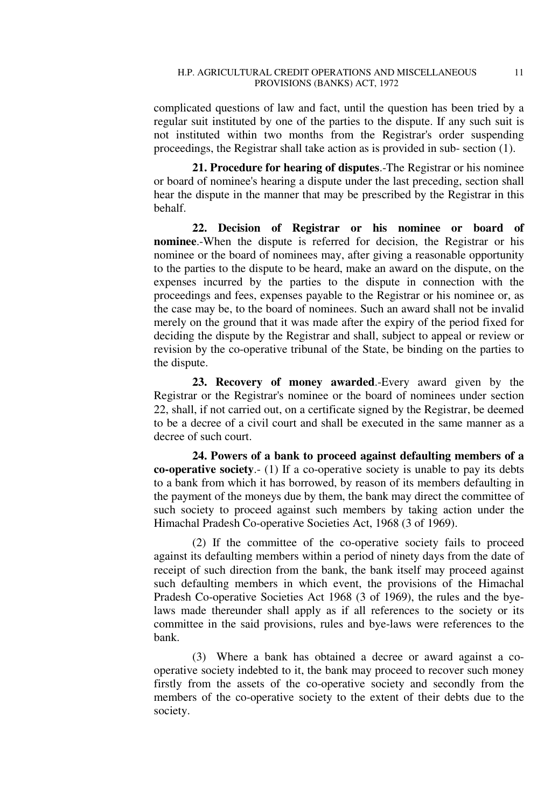complicated questions of law and fact, until the question has been tried by a regular suit instituted by one of the parties to the dispute. If any such suit is not instituted within two months from the Registrar's order suspending proceedings, the Registrar shall take action as is provided in sub- section (1).

**21. Procedure for hearing of disputes**.-The Registrar or his nominee or board of nominee's hearing a dispute under the last preceding, section shall hear the dispute in the manner that may be prescribed by the Registrar in this behalf.

**22. Decision of Registrar or his nominee or board of nominee**.-When the dispute is referred for decision, the Registrar or his nominee or the board of nominees may, after giving a reasonable opportunity to the parties to the dispute to be heard, make an award on the dispute, on the expenses incurred by the parties to the dispute in connection with the proceedings and fees, expenses payable to the Registrar or his nominee or, as the case may be, to the board of nominees. Such an award shall not be invalid merely on the ground that it was made after the expiry of the period fixed for deciding the dispute by the Registrar and shall, subject to appeal or review or revision by the co-operative tribunal of the State, be binding on the parties to the dispute.

**23. Recovery of money awarded**.-Every award given by the Registrar or the Registrar's nominee or the board of nominees under section 22, shall, if not carried out, on a certificate signed by the Registrar, be deemed to be a decree of a civil court and shall be executed in the same manner as a decree of such court.

**24. Powers of a bank to proceed against defaulting members of a co-operative society**.- (1) If a co-operative society is unable to pay its debts to a bank from which it has borrowed, by reason of its members defaulting in the payment of the moneys due by them, the bank may direct the committee of such society to proceed against such members by taking action under the Himachal Pradesh Co-operative Societies Act, 1968 (3 of 1969).

(2) If the committee of the co-operative society fails to proceed against its defaulting members within a period of ninety days from the date of receipt of such direction from the bank, the bank itself may proceed against such defaulting members in which event, the provisions of the Himachal Pradesh Co-operative Societies Act 1968 (3 of 1969), the rules and the byelaws made thereunder shall apply as if all references to the society or its committee in the said provisions, rules and bye-laws were references to the bank.

(3) Where a bank has obtained a decree or award against a cooperative society indebted to it, the bank may proceed to recover such money firstly from the assets of the co-operative society and secondly from the members of the co-operative society to the extent of their debts due to the society.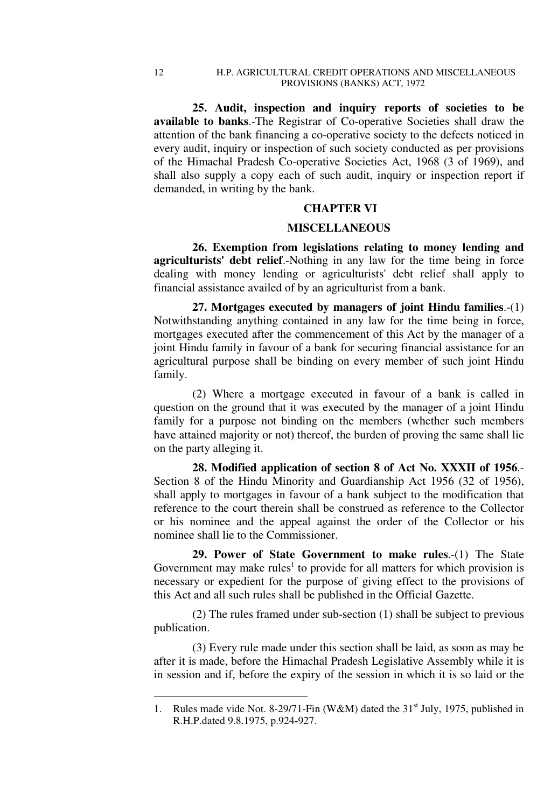**25. Audit, inspection and inquiry reports of societies to be available to banks**.-The Registrar of Co-operative Societies shall draw the attention of the bank financing a co-operative society to the defects noticed in every audit, inquiry or inspection of such society conducted as per provisions of the Himachal Pradesh Co-operative Societies Act, 1968 (3 of 1969), and shall also supply a copy each of such audit, inquiry or inspection report if demanded, in writing by the bank.

# **CHAPTER VI**

### **MISCELLANEOUS**

**26. Exemption from legislations relating to money lending and agriculturists' debt relief**.-Nothing in any law for the time being in force dealing with money lending or agriculturists' debt relief shall apply to financial assistance availed of by an agriculturist from a bank.

**27. Mortgages executed by managers of joint Hindu families**.-(1) Notwithstanding anything contained in any law for the time being in force, mortgages executed after the commencement of this Act by the manager of a joint Hindu family in favour of a bank for securing financial assistance for an agricultural purpose shall be binding on every member of such joint Hindu family.

(2) Where a mortgage executed in favour of a bank is called in question on the ground that it was executed by the manager of a joint Hindu family for a purpose not binding on the members (whether such members have attained majority or not) thereof, the burden of proving the same shall lie on the party alleging it.

**28. Modified application of section 8 of Act No. XXXII of 1956**.- Section 8 of the Hindu Minority and Guardianship Act 1956 (32 of 1956), shall apply to mortgages in favour of a bank subject to the modification that reference to the court therein shall be construed as reference to the Collector or his nominee and the appeal against the order of the Collector or his nominee shall lie to the Commissioner.

**29. Power of State Government to make rules**.-(1) The State Government may make rules<sup>1</sup> to provide for all matters for which provision is necessary or expedient for the purpose of giving effect to the provisions of this Act and all such rules shall be published in the Official Gazette.

(2) The rules framed under sub-section (1) shall be subject to previous publication.

(3) Every rule made under this section shall be laid, as soon as may be after it is made, before the Himachal Pradesh Legislative Assembly while it is in session and if, before the expiry of the session in which it is so laid or the

<sup>1.</sup> Rules made vide Not. 8-29/71-Fin (W&M) dated the  $31<sup>st</sup>$  July, 1975, published in R.H.P.dated 9.8.1975, p.924-927.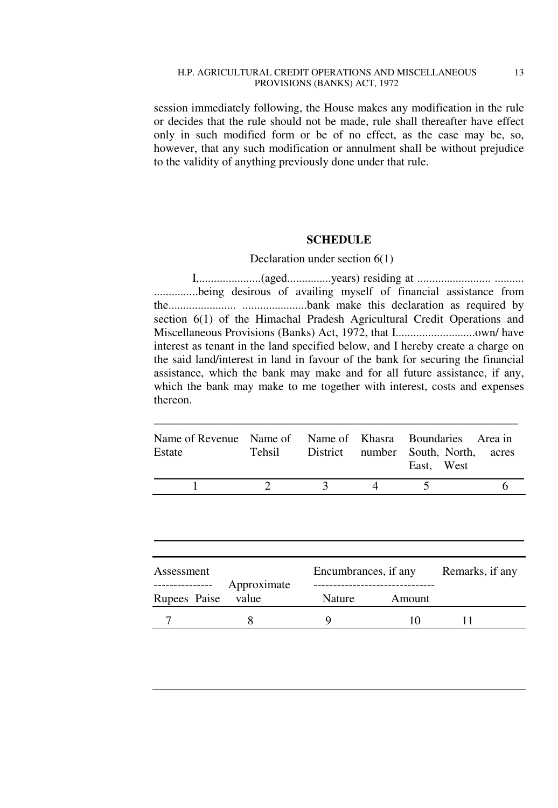#### H.P. AGRICULTURAL CREDIT OPERATIONS AND MISCELLANEOUS 13 PROVISIONS (BANKS) ACT, 1972

session immediately following, the House makes any modification in the rule or decides that the rule should not be made, rule shall thereafter have effect only in such modified form or be of no effect, as the case may be, so, however, that any such modification or annulment shall be without prejudice to the validity of anything previously done under that rule.

### **SCHEDULE**

### Declaration under section 6(1)

 I,.....................(aged...............years) residing at ......................... .......... ...............being desirous of availing myself of financial assistance from the....................... ......................bank make this declaration as required by section 6(1) of the Himachal Pradesh Agricultural Credit Operations and Miscellaneous Provisions (Banks) Act, 1972, that I...........................own/ have interest as tenant in the land specified below, and I hereby create a charge on the said land/interest in land in favour of the bank for securing the financial assistance, which the bank may make and for all future assistance, if any, which the bank may make to me together with interest, costs and expenses thereon.

| Name of Revenue Name of Name of Khasra Boundaries Area in<br>Estate |               | Tehsil District number South, North, acres<br>East. West |  |
|---------------------------------------------------------------------|---------------|----------------------------------------------------------|--|
|                                                                     | $\mathcal{L}$ |                                                          |  |

\_\_\_\_\_\_\_\_\_\_\_\_\_\_\_\_\_\_\_\_\_\_\_\_\_\_\_\_\_\_\_\_\_\_\_\_\_\_\_\_\_\_\_\_\_\_\_\_\_\_\_\_\_\_\_\_\_\_\_\_\_\_

| Assessment                       |                      | Encumbrances, if any | Remarks, if any |  |
|----------------------------------|----------------------|----------------------|-----------------|--|
| ----------------<br>Rupees Paise | Approximate<br>value | <b>Nature</b>        | Amount          |  |
|                                  |                      |                      | 10              |  |